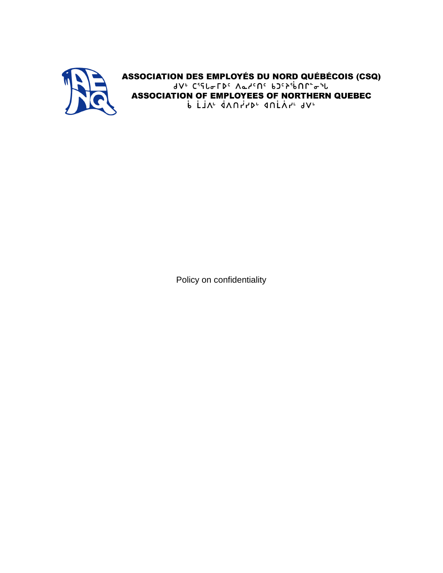

ASSOCIATION DES EMPLOYÉS DU NORD QUÉBÉCOIS (CSQ)<br>JVE C'ELLETDE ALLENE bJEP'ibNE="l **ASSOCIATION OF EMPLOYEES OF NORTHERN QUEBEC** P FIV, AVULS, AUFYUV,

Policy on confidentiality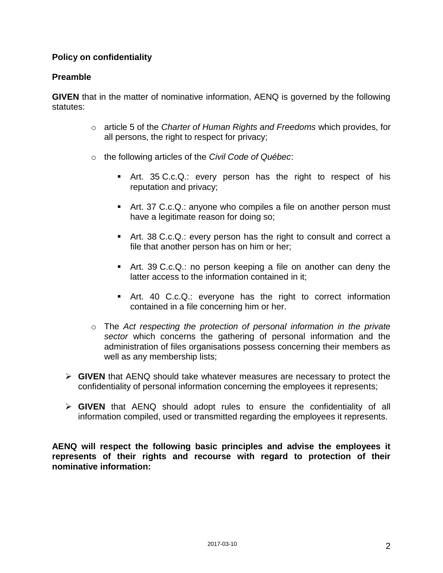## **Policy on confidentiality**

#### **Preamble**

**GIVEN** that in the matter of nominative information, AENQ is governed by the following statutes:

- o article 5 of the *Charter of Human Rights and Freedoms* which provides, for all persons, the right to respect for privacy;
- o the following articles of the *Civil Code of Québec*:
	- Art. 35 C.c.Q.: every person has the right to respect of his reputation and privacy;
	- Art. 37 C.c.Q.: anyone who compiles a file on another person must have a legitimate reason for doing so;
	- Art. 38 C.c.Q.: every person has the right to consult and correct a file that another person has on him or her;
	- Art. 39 C.c.Q.: no person keeping a file on another can deny the latter access to the information contained in it;
	- Art. 40 C.c.Q.: everyone has the right to correct information contained in a file concerning him or her.
- o The *Act respecting the protection of personal information in the private sector* which concerns the gathering of personal information and the administration of files organisations possess concerning their members as well as any membership lists;
- **GIVEN** that AENQ should take whatever measures are necessary to protect the confidentiality of personal information concerning the employees it represents;
- **GIVEN** that AENQ should adopt rules to ensure the confidentiality of all information compiled, used or transmitted regarding the employees it represents.

**AENQ will respect the following basic principles and advise the employees it represents of their rights and recourse with regard to protection of their nominative information:**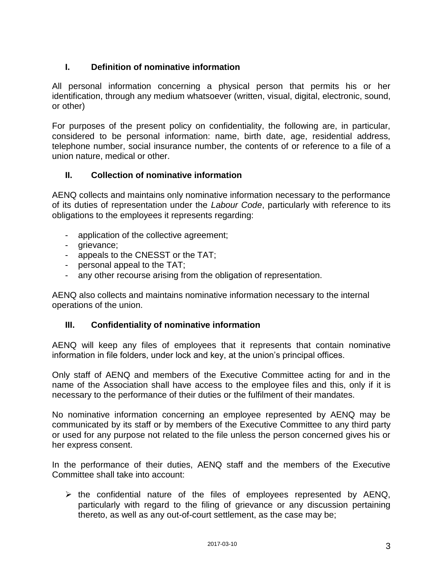# **I. Definition of nominative information**

All personal information concerning a physical person that permits his or her identification, through any medium whatsoever (written, visual, digital, electronic, sound, or other)

For purposes of the present policy on confidentiality, the following are, in particular, considered to be personal information: name, birth date, age, residential address, telephone number, social insurance number, the contents of or reference to a file of a union nature, medical or other.

# **II. Collection of nominative information**

AENQ collects and maintains only nominative information necessary to the performance of its duties of representation under the *Labour Code*, particularly with reference to its obligations to the employees it represents regarding:

- application of the collective agreement;
- grievance;
- appeals to the CNESST or the TAT;
- personal appeal to the TAT;
- any other recourse arising from the obligation of representation.

AENQ also collects and maintains nominative information necessary to the internal operations of the union.

#### **III. Confidentiality of nominative information**

AENQ will keep any files of employees that it represents that contain nominative information in file folders, under lock and key, at the union's principal offices.

Only staff of AENQ and members of the Executive Committee acting for and in the name of the Association shall have access to the employee files and this, only if it is necessary to the performance of their duties or the fulfilment of their mandates.

No nominative information concerning an employee represented by AENQ may be communicated by its staff or by members of the Executive Committee to any third party or used for any purpose not related to the file unless the person concerned gives his or her express consent.

In the performance of their duties, AENQ staff and the members of the Executive Committee shall take into account:

 $\triangleright$  the confidential nature of the files of employees represented by AENQ, particularly with regard to the filing of grievance or any discussion pertaining thereto, as well as any out-of-court settlement, as the case may be;